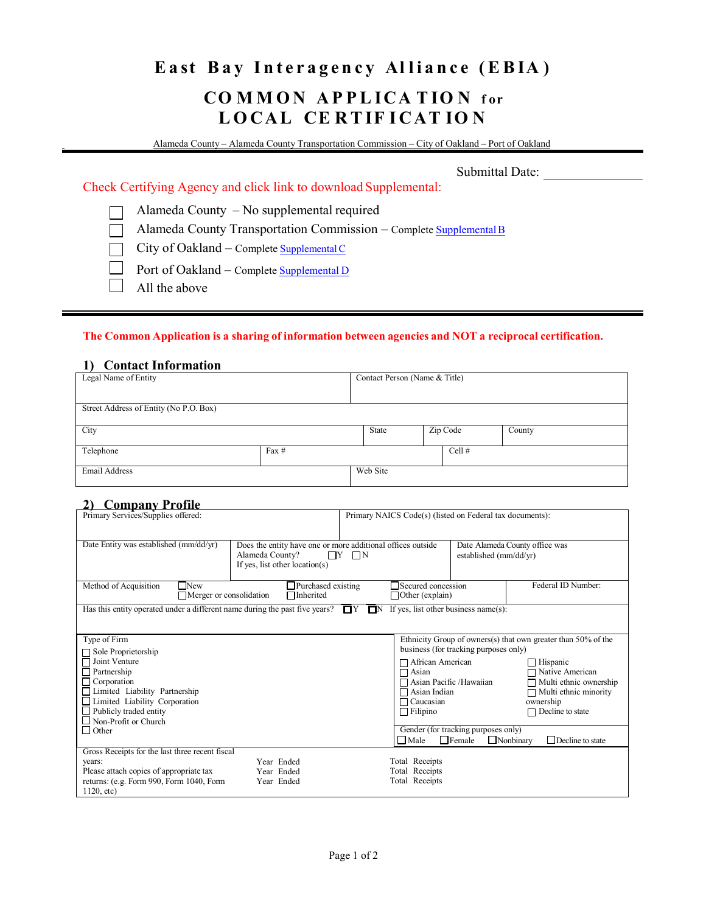## East Bay Interagency Alliance (EBIA) **CO M M O N A P P L ICA T IO N f or LOCAL CERTIFICATION**

Alameda County – Alameda County Transportation Commission – City of Oakland – Port of Oakland

Submittal Date:

Check Certifying Agency and click link to download Supplemental:

Alameda County – No supplemental required

Alameda County Transportation Commission – Complete [SupplementalB](https://www.alamedactc.org/wp-content/uploads/2018/11/Certification_Standards_Supplemental_B_AlamedaCTC_20171207.pdf)  $\Box$ 

City of Oakland – Complete [Supplemental C](http://www2.oaklandnet.com/oakca1/groups/hrm/documents/translateddocument/dowd003927.pdf) П

 $\Box$ Port of Oakland – Complete [Supplemental D](http://www.portofoakland.com/pdf/responsibility/cert_decl.pdf)

 $\Box$ All the above

### **The Common Application is a sharing of information between agencies and NOT a reciprocal certification.**

### **1) Contact Information**

| Legal Name of Entity                   |         | Contact Person (Name & Title) |          |        |  |
|----------------------------------------|---------|-------------------------------|----------|--------|--|
|                                        |         |                               |          |        |  |
| Street Address of Entity (No P.O. Box) |         |                               |          |        |  |
|                                        |         |                               |          |        |  |
| City                                   |         | State                         | Zip Code | County |  |
| Telephone                              | Fax $#$ |                               | Cell#    |        |  |
| Email Address                          |         | Web Site                      |          |        |  |

### **2) Company Profile**

| Primary Services/Supplies offered:                                                                                               | Primary NAICS Code(s) (listed on Federal tax documents):                                                                              |                                                     |                                                          |                                                               |
|----------------------------------------------------------------------------------------------------------------------------------|---------------------------------------------------------------------------------------------------------------------------------------|-----------------------------------------------------|----------------------------------------------------------|---------------------------------------------------------------|
| Date Entity was established (mm/dd/yr)                                                                                           | Does the entity have one or more additional offices outside<br>Alameda County?<br>$\Box Y$ $\Box N$<br>If yes, list other location(s) |                                                     | Date Alameda County office was<br>established (mm/dd/yr) |                                                               |
| Method of Acquisition<br>$\Box$ New<br>$\Box$ Merger or consolidation                                                            | Purchased existing<br>Inherited                                                                                                       | $\Box$ Secured concession<br>$\Box$ Other (explain) |                                                          | Federal ID Number:                                            |
| Has this entity operated under a different name during the past five years? $\Box Y \Box N$ If yes, list other business name(s): |                                                                                                                                       |                                                     |                                                          |                                                               |
| Type of Firm                                                                                                                     |                                                                                                                                       |                                                     |                                                          | Ethnicity Group of owners(s) that own greater than 50% of the |
| $\Box$ Sole Proprietorship                                                                                                       |                                                                                                                                       |                                                     | business (for tracking purposes only)                    |                                                               |
| $\Box$ Joint Venture                                                                                                             |                                                                                                                                       | □ African American                                  |                                                          | $\Box$ Hispanic                                               |
| $\Box$ Partnership                                                                                                               |                                                                                                                                       | $\Box$ Asian                                        |                                                          | □ Native American                                             |
| $\Box$ Corporation<br>□ Limited Liability Partnership                                                                            |                                                                                                                                       | □ Asian Pacific /Hawaiian<br>$\Box$ Asian Indian    |                                                          | $\Box$ Multi ethnic ownership<br>$\Box$ Multi ethnic minority |
| $\Box$ Limited Liability Corporation                                                                                             |                                                                                                                                       | $\Box$ Caucasian                                    |                                                          | ownership                                                     |
| $\Box$ Publicly traded entity                                                                                                    |                                                                                                                                       | $\Box$ Filipino                                     |                                                          | $\Box$ Decline to state                                       |
| $\Box$ Non-Profit or Church                                                                                                      |                                                                                                                                       |                                                     |                                                          |                                                               |
| $\Box$ Other                                                                                                                     |                                                                                                                                       |                                                     | Gender (for tracking purposes only)                      |                                                               |
|                                                                                                                                  |                                                                                                                                       | $\Box$ Male                                         | $\Box$ Female                                            | $\Box$ Nonbinary<br>Decline to state                          |
| Gross Receipts for the last three recent fiscal                                                                                  |                                                                                                                                       |                                                     |                                                          |                                                               |
| years:                                                                                                                           | Year Ended                                                                                                                            | Total Receipts                                      |                                                          |                                                               |
| Please attach copies of appropriate tax                                                                                          | Year Ended                                                                                                                            | Total Receipts                                      |                                                          |                                                               |
| returns: (e.g. Form 990, Form 1040, Form<br>1120, etc.                                                                           | Year Ended                                                                                                                            | Total Receipts                                      |                                                          |                                                               |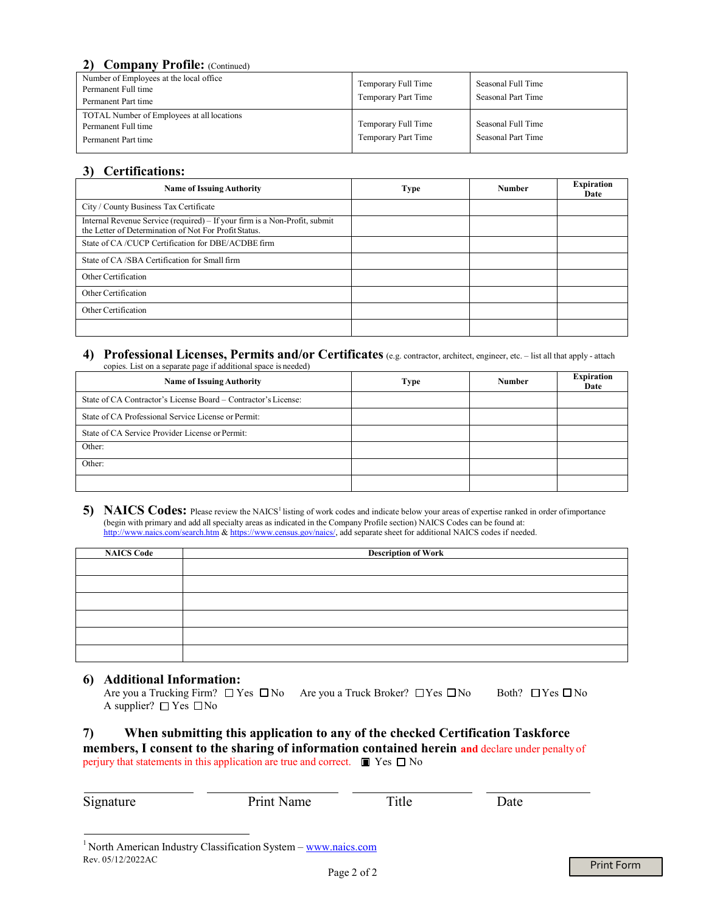## 2) **Company Profile:** *(Continued)*

| Number of Employees at the local office<br>Permanent Full time<br>Permanent Part time    | Temporary Full Time<br>Temporary Part Time | Seasonal Full Time<br>Seasonal Part Time |
|------------------------------------------------------------------------------------------|--------------------------------------------|------------------------------------------|
| TOTAL Number of Employees at all locations<br>Permanent Full time<br>Permanent Part time | Temporary Full Time<br>Temporary Part Time | Seasonal Full Time<br>Seasonal Part Time |

## **3) Certifications:**

| <b>Name of Issuing Authority</b>                                                                                                    | <b>Type</b> | <b>Number</b> | <b>Expiration</b><br>Date |
|-------------------------------------------------------------------------------------------------------------------------------------|-------------|---------------|---------------------------|
| City / County Business Tax Certificate                                                                                              |             |               |                           |
| Internal Revenue Service (required) – If your firm is a Non-Profit, submit<br>the Letter of Determination of Not For Profit Status. |             |               |                           |
| State of CA/CUCP Certification for DBE/ACDBE firm                                                                                   |             |               |                           |
| State of CA/SBA Certification for Small firm                                                                                        |             |               |                           |
| Other Certification                                                                                                                 |             |               |                           |
| Other Certification                                                                                                                 |             |               |                           |
| Other Certification                                                                                                                 |             |               |                           |
|                                                                                                                                     |             |               |                           |

#### **4) Professional Licenses, Permits and/or Certificates** (e.g. contractor, architect, engineer, etc. – list all that apply - attach copies. List on a separate page if additional space is needed)

| <b>Name of Issuing Authority</b>                               | <b>Type</b> | <b>Number</b> | <b>Expiration</b><br>Date |
|----------------------------------------------------------------|-------------|---------------|---------------------------|
| State of CA Contractor's License Board – Contractor's License: |             |               |                           |
| State of CA Professional Service License or Permit:            |             |               |                           |
| State of CA Service Provider License or Permit:                |             |               |                           |
| Other:                                                         |             |               |                           |
| Other:                                                         |             |               |                           |
|                                                                |             |               |                           |

#### 5) NAICS Codes: Please review the NAICS<sup>1</sup> listing of work codes and indicate below your areas of expertise ranked in order of importance (begin with primary and add all specialty areas as indicated in the Company Profile section) NAICS Codes can be found at: http://www.naics.com/search.htm & https://www.census.gov/naics/, add separate sheet for additional NAICS codes if needed.

| <b>NAICS Code</b> | <b>Description of Work</b> |  |  |  |
|-------------------|----------------------------|--|--|--|
|                   |                            |  |  |  |
|                   |                            |  |  |  |
|                   |                            |  |  |  |
|                   |                            |  |  |  |
|                   |                            |  |  |  |
|                   |                            |  |  |  |

## **6) Additional Information:**

|                                  | Are you a Trucking Firm? □ Yes □ No Are you a Truck Broker? □ Yes □ No | Both? $\Box$ Yes $\Box$ No |
|----------------------------------|------------------------------------------------------------------------|----------------------------|
| A supplier? $\Box$ Yes $\Box$ No |                                                                        |                            |

## **7) When submitting this application to any of the checked Certification Taskforce members, I consent to the sharing of information contained herein and** declare under penalty of perjury that statements in this application are true and correct.  $\Box$  Yes  $\Box$  No

| Signature         | Print Name                                                                 | Title | Date |     |
|-------------------|----------------------------------------------------------------------------|-------|------|-----|
| Rev. 05/12/2022AC | <sup>1</sup> North American Industry Classification System - www.naics.com |       |      | - - |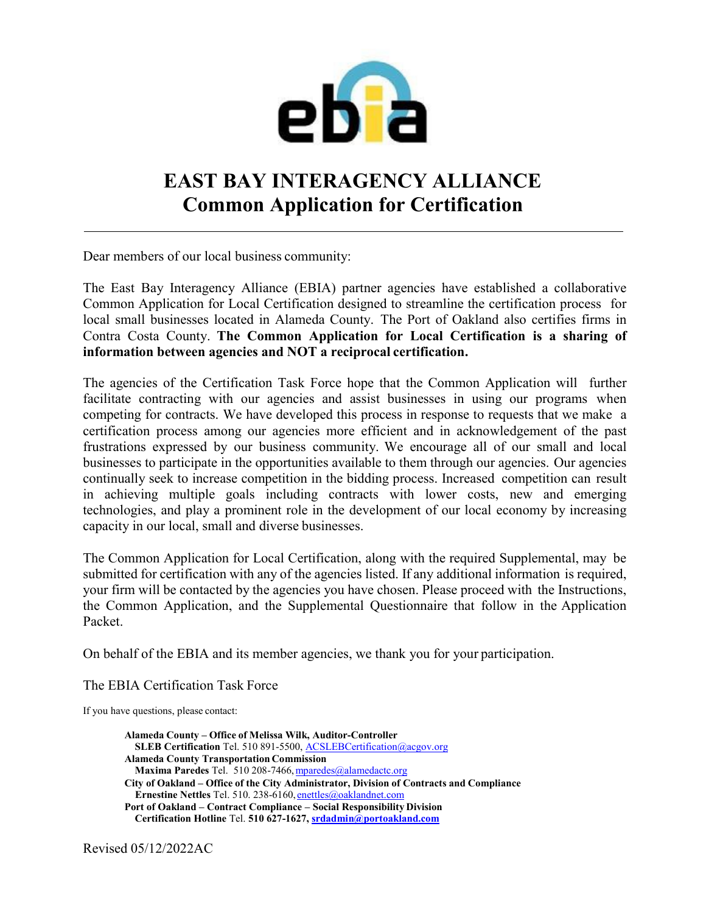

# **EAST BAY INTERAGENCY ALLIANCE Common Application for Certification**

Dear members of our local business community:

The East Bay Interagency Alliance (EBIA) partner agencies have established a collaborative Common Application for Local Certification designed to streamline the certification process for local small businesses located in Alameda County. The Port of Oakland also certifies firms in Contra Costa County. **The Common Application for Local Certification is a sharing of information between agencies and NOT a reciprocal certification.**

The agencies of the Certification Task Force hope that the Common Application will further facilitate contracting with our agencies and assist businesses in using our programs when competing for contracts. We have developed this process in response to requests that we make a certification process among our agencies more efficient and in acknowledgement of the past frustrations expressed by our business community. We encourage all of our small and local businesses to participate in the opportunities available to them through our agencies. Our agencies continually seek to increase competition in the bidding process. Increased competition can result in achieving multiple goals including contracts with lower costs, new and emerging technologies, and play a prominent role in the development of our local economy by increasing capacity in our local, small and diverse businesses.

The Common Application for Local Certification, along with the required Supplemental, may be submitted for certification with any of the agencies listed. If any additional information is required, your firm will be contacted by the agencies you have chosen. Please proceed with the Instructions, the Common Application, and the Supplemental Questionnaire that follow in the Application Packet.

On behalf of the EBIA and its member agencies, we thank you for your participation.

The EBIA Certification Task Force

If you have questions, please contact:

**Alameda County – Office of Melissa Wilk, Auditor-Controller SLEB Certification** Tel. 510 891-5500, ACSLEBCertification@acgov.org **Alameda County Transportation Commission** Maxima Paredes Tel. 510 208-7466, mparedes@alamedactc.org **City of Oakland – Office of the City Administrator, Division of Contracts and Compliance Ernestine Nettles** Tel. 510. 238-6160, enettles@oaklandnet.com **Port of Oakland – Contract Compliance – Social Responsibility Division Certification Hotline** Tel. **510 627-1627, srdadmin@portoakland.com**